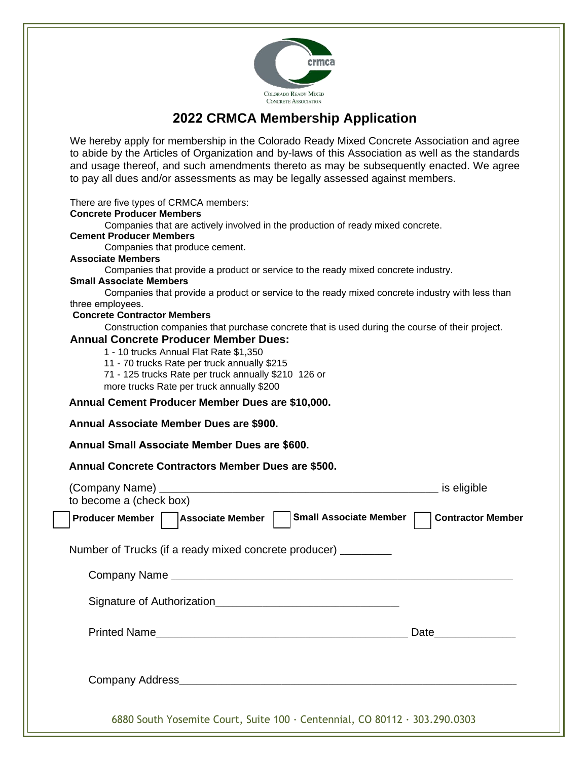

## **2022 CRMCA Membership Application**

We hereby apply for membership in the Colorado Ready Mixed Concrete Association and agree to abide by the Articles of Organization and by-laws of this Association as well as the standards and usage thereof, and such amendments thereto as may be subsequently enacted. We agree to pay all dues and/or assessments as may be legally assessed against members.

There are five types of CRMCA members:

## **Concrete Producer Members**

Companies that are actively involved in the production of ready mixed concrete.

| <b>Cement Producer Members</b>                                                                  |
|-------------------------------------------------------------------------------------------------|
| Companies that produce cement.                                                                  |
| <b>Associate Members</b>                                                                        |
| Companies that provide a product or service to the ready mixed concrete industry.               |
| <b>Small Associate Members</b>                                                                  |
| Companies that provide a product or service to the ready mixed concrete industry with less than |
| three employees.                                                                                |
| <b>Concrete Contractor Members</b>                                                              |
| Construction companies that purchase concrete that is used during the course of their project.  |
| <b>Annual Concrete Producer Member Dues:</b>                                                    |
| 1 - 10 trucks Annual Flat Rate \$1,350                                                          |
| 11 - 70 trucks Rate per truck annually \$215                                                    |
| 71 - 125 trucks Rate per truck annually \$210 126 or                                            |
| more trucks Rate per truck annually \$200                                                       |
| Annual Cement Producer Member Dues are \$10,000.                                                |
| Annual Associate Member Dues are \$900.                                                         |
| Annual Small Associate Member Dues are \$600.                                                   |

**Annual Concrete Contractors Member Dues are \$500.**

| to become a (check box)                                                    | is eligible                                                                                                                                                                                                                    |
|----------------------------------------------------------------------------|--------------------------------------------------------------------------------------------------------------------------------------------------------------------------------------------------------------------------------|
| Small Associate Member<br>Producer Member     Associate Member             | <b>Contractor Member</b>                                                                                                                                                                                                       |
| Number of Trucks (if a ready mixed concrete producer) __________           |                                                                                                                                                                                                                                |
|                                                                            |                                                                                                                                                                                                                                |
|                                                                            |                                                                                                                                                                                                                                |
|                                                                            | Date the contract of the contract of the contract of the contract of the contract of the contract of the contract of the contract of the contract of the contract of the contract of the contract of the contract of the contr |
|                                                                            |                                                                                                                                                                                                                                |
| 6880 South Yosemite Court, Suite 100 · Centennial, CO 80112 · 303.290.0303 |                                                                                                                                                                                                                                |